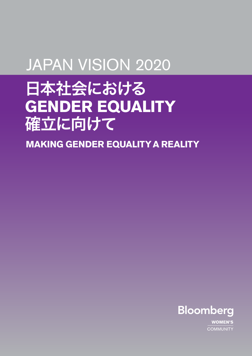# JAPAN VISION 2020

# 日本社会における **GENDER EQUALITY**  確立に向けて

**MAKING GENDER EQUALITY A REALITY**



**WOMEN'S COMMUNITY**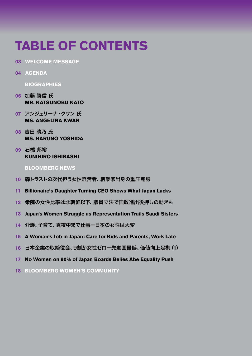# **TABLE OF CONTENTS**

- **03 WELCOME MESSAGE**
- **04 AGENDA**

 **BIOGRAPHIES**

- **06** 加藤 勝信 氏  **MR. KATSUNOBU KATO**
- **07** アンジェリーナ・クワン 氏  **MS. ANGELINA KWAN**
- **08** 吉田 晴乃 氏  **MS. HARUNO YOSHIDA**
- **09** 石橋 邦裕  **KUNIHIRO ISHIBASHI**

#### **BLOOMBERG NEWS**

- **10** 森トラストの次代担う女性経営者、創業家出身の重圧克服
- **11 Billionaire's Daughter Turning CEO Shows What Japan Lacks**
- **12** 衆院の女性比率は北朝鮮以下、議員立法で国政進出後押しの動きも
- **13 Japan's Women Struggle as Representation Trails Saudi Sisters**
- **14** 介護、子育て、真夜中まで仕事-日本の女性は大変
- **15 A Woman's Job in Japan: Care for Kids and Parents, Work Late**
- **16** 日本企業の取締役会、9割が女性ゼロ-先進国最低、価値向上足枷(**1**)
- **17 No Women on 90% of Japan Boards Belies Abe Equality Push**
- **18 BLOOMBERG WOMEN'S COMMUNITY**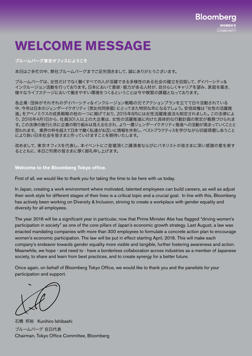

# **WELCOME MESSAGE**

#### ブルームバーグ東京オフィスにようこそ

本日はご多忙の中、弊社ブルームバーグまでご足労頂きまして、誠にありがとうございます。

ブルームバーグは、女性だけでなく働くすべての人が活躍できる多様性のある社会の確立を目指して、ダイバーシティ& インクルージョン活動を行っております。日本において意欲・能力がある人材が、自分らしくキャリアを望み、家庭を築き、 様々なライフステージにおいて働きやすい環境をつくるということは今や喫緊の課題となっております。

各企業・団体がそれぞれのダイバーシティ&インクルージョン戦略の元でアクションプランを立てて日々活動されている 中、今年は日本のジェンダーイクオリティ(男女共同参画)にとってまた特別な年になるでしょう。安倍政権は「女性の活躍推 進」をアベノミクスの成長戦略の柱の一つに掲げており、2015年8月には女性活躍推進法も制定されました。この法律によ り、2016年4月1日から、社員301人以上の大企業は、女性の活躍推進に向けた具体的な行動計画の策定が義務づけられま す。この法律の施行と共に企業の取り組みは見える化され、より一層ジェンダーイクオリティ推進への活動が高まっていくことと 思われます。 業界の枠を超えて日本で働く私達がお互いに情報を共有し、ベストプラクティスを学びながら切磋琢磨しあうこと により良い日本社会を皆さまと作っていけますことを期待いたします。

改めまして、東京オフィスを代表し、本イベントにご登壇頂くご講演者ならびにパネリストの皆さまに深い感謝の意を表す るとともに、本日ご列席の皆さまに厚く御礼申し上げます。

#### **Welcome to the Bloomberg Tokyo office.**

First of all, we would like to thank you for taking the time to be here with us today.

In Japan, creating a work environment where motivated, talented employees can build careers, as well as adjust their work style for different stages of their lives is a critical topic and a crucial goal. In line with this, Bloomberg has actively been working on Diversity & Inclusion, striving to create a workplace with gender equality and diversity for all employees.

The year 2016 will be a significant year in particular, now that Prime Minister Abe has flagged "driving women's participation in society" as one of the core pillars of Japan's economic growth strategy. Last August, a law was enacted mandating companies with more than 300 employees to formulate a concrete action plan to encourage women's economic participation. The law will be put in effect starting April, 2016. This will make each company's endeavor towards gender equality more visible and tangible, further fostering awareness and action. Meanwhile, we hope - and need to - have a borderless collaboration across industries as a member of Japanese society, to share and learn from best practices, and to create synergy for a better future.

Once again, on behalf of Bloomberg Tokyo Office, we would like to thank you and the panelists for your participation and support.

石橋 邦裕Kunihiro Ishibashi ブルームバーグ 在日代表 Chairman, Tokyo Office Committee, Bloomberg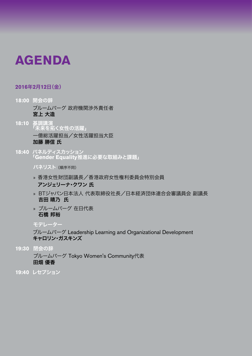# **AGENDA**

### **2016**年**2**月**12**日(金)

- **18:00** 開会の辞 ブルームバーグ 政府機関渉外責任者 宮上 大造
- **18:10** 基調講演 「未来を拓く女性の活躍」 一億総活躍担当/女性活躍担当大臣 加藤 勝信 氏
- **18:40** パネルディスカッション 「**Gender Equality**推進に必要な取組みと課題」

パネリスト (順序不同)

- » 香港女性財団副議長/香港政府女性権利委員会特別会員 アンジェリーナ・クワン 氏
- » BTジャパン日本法人 代表取締役社長/日本経済団体連合会審議員会 副議長 吉田 晴乃 氏
- » ブルームバーグ 在日代表 石橋 邦裕

## モデレーター

 ブルームバーグ Leadership Learning and Organizational Development キャロリン・ガスキンズ

**19:30** 閉会の辞

 ブルームバーグ Tokyo Women's Community代表 田畑 優香

**19:40** レセプション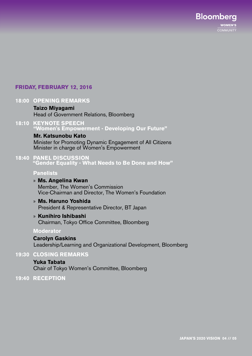## **FRIDAY, FEBRUARY 12**, **2016**

## **18:00 OPENING REMARKS**

### **Taizo Miyagami**

Head of Government Relations, Bloomberg

**18:10 KEYNOTE SPEECH "Women's Empowerment - Developing Our Future"**

### **Mr. Katsunobu Kato**

 Minister for Promoting Dynamic Engagement of All Citizens Minister in charge of Women's Empowerment

**18:40 PANEL DISCUSSION "Gender Equality - What Needs to Be Done and How"** 

### **Panelists**

- » **Ms. Angelina Kwan** Member, The Women's Commission Vice-Chairman and Director, The Women's Foundation
- » **Ms. Haruno Yoshida** President & Representative Director, BT Japan
- » **Kunihiro Ishibashi**  Chairman, Tokyo Office Committee, Bloomberg

### **Moderator**

## **Carolyn Gaskins**

Leadership/Learning and Organizational Development, Bloomberg

## **19:30 CLOSING REMARKS**

## **Yuka Tabata**  Chair of Tokyo Women's Committee, Bloomberg

**19:40 RECEPTION**

**Bloomberg** 

**COMMUNITY**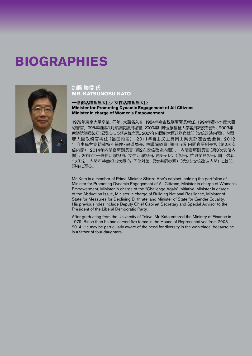# **BIOGRAPHIES**



### 加藤 勝信 氏 **MR. KATSUNOBU KATO**

#### 一億総活躍担当大臣/女性活躍担当大臣 **Minister for Promoting Dynamic Engagement of All Citizens Minister in charge of Women's Empowerment**

1979年東京大学卒業。同年、大蔵省入省。1984年倉吉税務署署長就任。1994年農林水産大臣 秘書官、1995年加藤六月衆議院議員秘書、2000年川崎医療福祉大学客員教授を務め、2003年 衆議院議員に初当選以来、5期連続当選。2007年内閣府大臣政務官就任(安倍改造内閣)、内閣 府大臣政務官再任(福田内閣)、2011年自由民主党岡山県支部連合会会長、2012 年自由民主党総裁特別補佐・報道局長、衆議院議員4期目当選 内閣官房副長官(第2次安 倍内閣)、2014年内閣官房副長官(第2次安倍改造内閣)、 内閣官房副長官(第3次安倍内 閣)、2015年一億総活躍担当、女性活躍担当、再チャレンジ担当、拉致問題担当、国土強靱 化担当、 内閣府特命担当大臣(少子化対策、男女共同参画)(第3次安倍改造内閣)に就任、 現在に至る。

Mr. Kato is a member of Prime Minister Shinzo Abe's cabinet, holding the portfolios of Minister for Promoting Dynamic Engagement of All Citizens, Minister in charge of Women's Empowerment, Minister in charge of the "Challenge Again" Initiative, Minister in charge of the Abduction Issue, Minister in charge of Building National Resilience, Minister of State for Measures for Declining Birthrate, and Minister of State for Gender Equality. His previous roles include Deputy Chief Cabinet Secretary and Special Advisor to the President of the Liberal Democratic Party.

After graduating from the University of Tokyo, Mr. Kato entered the Ministry of Finance in 1979. Since then he has served five terms in the House of Representatives from 2003- 2014. He may be particularly aware of the need for diversity in the workplace, because he is a father of four daughters.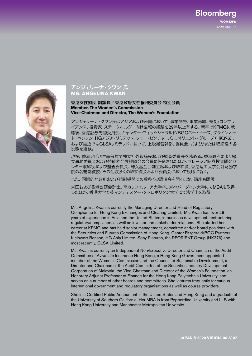## **Bloomberg WOMEN'S COMMUNITY**



### アンジェリーナ・クワン 氏 **MS. ANGELINA KWAN**

香港女性財団 副議長/香港政府女性権利委員会 特別会員 **Member, The Women's Commission Vice-Chairman and Director, The Women's Foundation** 

アンジェリーナ・クワン氏はアジアおよび米国において、事業開発、事業再編、規制/コンプラ イアンス、投資家・ステークホルダー向け広報の経験を29年以上有する。新卒でKPMGに就 職後、香港証券先物委員会、キャンター・フィッツジェラルド/BGCパートナーズ、クラインオー ト・ベンソン、HGアジア・リミテッド、ソニー・ピクチャーズ、リオリエント・グループ(HK376)、 および最近ではCLSAリミテッドにおいて、上級経営幹部、委員会、および/または取締役の各 役職を経験。

現在、香港アビバ生命保険で独立社外取締役および監査委員長を務める。香港政府により婦 女事務委員会および持続的発展評議会の会員に任命されたほか、マレーシア証券投資開発セ ンター取締役および監査委員長、婦女基金会副主席および取締役、香港理工大学会計財務学 院の名誉副教授、その他数多くの取締役会および委員会において役職に就く。

また、国際的な政府および規制機関での数多くの講演会を開くほか、講座も開設。

米国および香港公認会計士。南カリフォルニア大学卒。米ペパーダイン大学にてMBAを取得 したほか、香港大学と英マンチェスター・メトロポリタン大学にて法学士を取得。

Ms. Angelina Kwan is currently the Managing Director and Head of Regulatory Compliance for Hong Kong Exchanges and Clearing Limited. Ms. Kwan has over 29 years of experience in Asia and the United States, in business development, restructuring, regulatory/compliance, as well as investor and stakeholder relations. She started her career at KPMG and has held senior management, committee and/or board positions with the Securities and Futures Commission of Hong Kong, Cantor Fitzgerald/BGC Partners, Kleinwort Benson, HG Asia Limited, Sony Pictures, the REORIENT Group (HK376) and most recently, CLSA Limited.

Ms. Kwan is currently an Independent Non-Executive Director and Chairman of the Audit Committee of Aviva Life Insurance Hong Kong, a Hong Kong Government appointed member of the Women's Commission and the Council for Sustainable Development, a Director and Chairman of the Audit Committee of the Securities Industry Development Corporation of Malaysia, the Vice-Chairman and Director of the Women's Foundation, an Honorary Adjunct Professor of Finance for the Hong Kong Polytechnic University, and serves on a number of other boards and committees. She lectures frequently for various international government and regulatory organisations as well as course providers.

She is a Certified Public Accountant in the United States and Hong Kong and a graduate of the University of Southern California. Her MBA is from Pepperdine University and LLB with Hong Kong University and Manchester Metropolitan University.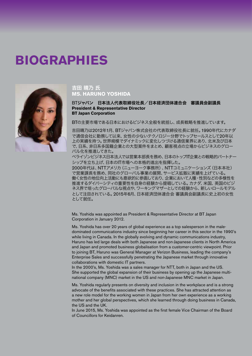# **BIOGRAPHIES**



### 吉田 晴乃 氏 **MS. HARUNO YOSHIDA**

BTジャパン 日本法人代表取締役社長/日本経済団体連合会 審議員会副議長 **President & Representative Director BT Japan Corporation**

BTの主要市場である日本におけるビジネス全般を統括し、成長戦略を推進しています。

吉田晴乃は2012年1月、BTジャパン株式会社の代表取締役社長に就任。1990年代にカナダ で通信会社に勤務して以来、女性の少ないテクノロジー分野でトップセールスとして20年以 上の実績を持つ。世界規模でダイナミックに変化しつづける通信業界にあり、北米及び日本 で、日系、非日系多国籍企業との大型案件をまとめ、顧客視点の立場からビジネスのグロー バル化を推進してきた。

ベライゾンビジネス日本法人では営業本部長を務め、日本のトップIT企業との戦略的パートナー シップを立ち上げ、日本のIT市場への本格的進出を指揮した。

2000年代は、NTTアメリカ(ニューヨーク事務所)、NTTコミュニケーションズ(日本本社) で営業課長を務め、同社のグローバル事業の展開、サービス拡販に実績を上げている。 働く女性の地位向上活動にも意欲的に参画しており、企業において人種・性別などの多様性を 推進するダイバーシティの重要性を自身の経験から提唱している。カナダ、米国、英国のビジ ネス界で培ったグローバルな視点や、ワーキングマザーとしての経験から、新しいロールモデル として注目されている。2015年6月、日本経済団体連合会 審議員会副議長に史上初の女性 として就任。

Ms. Yoshida was appointed as President & Representative Director at BT Japan Corporation in January 2012.

Ms. Yoshida has over 20 years of global experience as a top salesperson in the maledominated communications industry since beginning her career in this sector in the 1990's while living in Canada. In the globally evolving and dynamic communications industry, Haruno has led large deals with both Japanese and non-Japanese clients in North America and Japan and promoted business globalisation from a customer-centric viewpoint. Prior to joining BT, Haruno was General Manager at Verizon Business, leading the company's Enterprise Sales and successfully penetrating the Japanese market through innovative collaborations with domestic IT partners.

In the 2000's, Ms. Yoshida was a sales manager for NTT, both in Japan and the US. She supported the global expansion of their business by opening up the Japanese multinational company (MNC) market in the US and non-Japanese MNC market in Japan.

Ms. Yoshida regularly presents on diversity and inclusion in the workplace and is a strong advocate of the benefits associated with these practices. She has attracted attention as a new role model for the working women in Japan from her own experience as a working mother and her global perspectives, which she learned through doing business in Canada, the US and the UK.

In June 2015, Ms. Yoshida was appointed as the first female Vice Chairman of the Board of Councillors for Keidanren.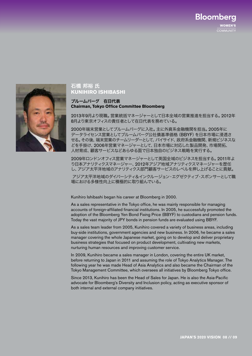**Bloomberg** WOMEN'S **COMMUNITY** 



### 石橋 邦裕 氏 **KUNIHIRO ISHIBASHI**

#### ブルームバーグ 在日代表 **Chairman, Tokyo Office Committee Bloomberg**

2013年9月より現職。営業統括マネージャーとして日本全域の営業推進を担当する。2012年 8月より東京オフィスの責任者として在日代表を務めている。

2000年端末営業としてブルームバーグに入社。主に外資系金融機関を担当。2005年に データライセンス営業としてブルームバーグ公社債基準価格(BBYF)を日本市場に浸透さ せる。その後、端末営業のチームリーダーとして、バイサイド、政府系金融機関、新規ビジネスな どを手掛け、2006年営業マネージャーとして、日本市場に対応した製品開発、市場開拓、 人材育成、顧客サービスなどあらゆる面で日本独自のビジネス戦略を実行する。

2009年ロンドンオフィス営業マネージャーとして英国全域のビジネスを担当する。2011年よ り日本アナリティクスマネージャー、2012年アジア地域アナリティクスマネージャーを歴任 し、アジア太平洋地域のアナリティクス部門顧客サービスのレベルを押し上げることに貢献。

アジア太平洋地域のダイバーシティ&インクルージョン・エグゼクティブ・スポンサーとして職 場における多様性向上に積極的に取り組んでいる。

Kunihiro Ishibashi began his career at Bloomberg in 2000.

As a sales representative in the Tokyo office, he was mainly responsible for managing accounts of foreign-affiliated financial institutions. In 2005, he successfully promoted the adoption of the Bloomberg Yen Bond Fixing Price (BBYF) to custodians and pension funds. Today the vast majority of JPY bonds in pension funds are evaluated using BBYF.

As a sales team leader from 2005, Kunihiro covered a variety of business areas, including buy-side institutions, government agencies and new business. In 2006, he became a sales manager covering the whole Japanese market, going on to develop and deliver proprietary business strategies that focused on product development, cultivating new markets, nurturing human resources and improving customer service.

In 2009, Kunihiro became a sales manager in London, covering the entire UK market, before returning to Japan in 2011 and assuming the role of Tokyo Analytics Manager. The following year he was made Head of Asia Analytics and also became the Chairman of the Tokyo Management Committee, which oversees all initiatives by Bloomberg Tokyo office.

Since 2013, Kunihiro has been the Head of Sales for Japan. He is also the Asia-Pacific advocate for Bloomberg's Diversity and Inclusion policy, acting as executive sponsor of both internal and external company initiatives.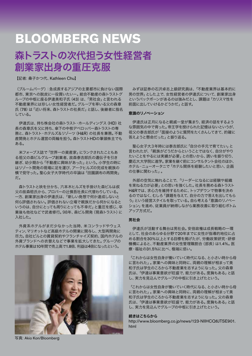# 森トラストの次代担う女性経営者 創業家出身の重圧克服

【記者: 桑子かつ代、Kathleen Chu】

(ブルームバーグ):急成長するアジアの主要都市に負けない国際 都市、東京への脱皮に一役買いたい-。総合不動産の森トラストグ ループの中枢に座る伊達美和子氏(43)は、「男社会」と言われる 不動産業界には珍しい女性経営者だ。グループを率いる父の森章 氏(78)は「近い将来、森トラストの社長だ」と話し、後継者に指名 している。

伊達氏は、持ち株会社の森トラスト・ホールディングス (HD)社 長の森章氏を父に持ち、傘下の中核デベロッパー森トラストの専 務と、森トラスト・ホテルズ&リゾーツ(H&R)の社長を兼務。不動 産開発とホテル運営の両輪を担う。森トラストHDの筆頭株主でも ある。

 米フォーブス誌で「世界一の資産家」にランクされたこともあ る祖父の森ビルグループ創業者、故森泰吉郎氏の遺伝子を引き 継ぎ、幼少期から「不動産に興味があった」という。小学生の時に はリゾート開発の現場に足を運び、アークヒルズの完成を親族の 横で見守った。聖心女子大学時代の卒論は「田園調布の再開発」 だ。

 森トラストと袂を分かち、六本木ヒルズを手掛けた森ビルは叔 父の故森稔氏から、プロパーの辻慎吾社長に代替わりしている。 一方、創業家出身の伊達氏は、「新しい発想で何か達成しないと 何ら評価されない。評価されない立場で親族だから何かになると いうのは、自分にとっても周りにとっても不幸だ」と重圧を感じ、卒 業後も他社などで武者修行。98年、森ビル開発(現森トラスト)に 入社した。

 外資系ホテルがまだ少なかった当時、米コンラッドやウェス ティン、マリオットなど高級ホテルの開業に関与し、大型再開発に 尽力。自社ビルとの賃貸契約やフランチャイズ契約、国内ホテルの 外資ブランドへの衣替えなどで事業を拡大してきた。グループの ホテル事業は10年間で売上高で1.8倍、利益は4倍になったという。



 みずほ証券の石沢卓志上級研究員は、「不動産業界は基本的に 男の世界」とした上で、女性経営者の伊達氏について、創業家出身 というバックボーンがあるのは強みだとし、課題は「カリスマ性を 前面に出していけるかどうかだ」と話す。

#### 意識のリノベーション

 伊達氏は正月になると親戚一堂が集まり、経済の話をするよう な雰囲気の中で育った。帝王学を授けられた記憶はないというが、 祖父の泰吉郎氏が「面接のように質問をたくさんしてきて、的確に 答えようと懸命だった」と振り返る。

 聖心女子大3年時には泰吉郎氏に「自分の手元で育てたい」と 言われたが、「親族がどうだからということではなく、自分がやり たいことをやるには実績が必要」との思いから、誘いを振り切り、 慶応大大学院に進学。家業を継ぐ前にコンサルタント会社のほか、 ホテル・ニューオータニで「ホテル関係を経験したいと思い、企画 の仕事に関わった」。

 外部の空気に触れることで、「リーダーになるには経験や組織 を束ねる力が必要」との思いを強くした。社長を務める森トラスト H&Rでは、求心力を維持するために、トップダウンで物事を決め るのではなく、むしろ「課題を与えて、自分の力で答えを出してもら う」という経営スタイルを取っている。自ら考える「意識のリノベー ション」を進め、従業員が納得しながら業務改善に取り組むボトム アップ方式だ。

#### 男社会

 伊達氏が活動する舞台は男社会。安倍政権は成長戦略の一環 として、社会のあらゆる分野で20年までに女性が指導的地位に占 める割合を30%以上とする目標を掲げたが、労働政策研究・研修 機構によると、不動産業界の女性管理職割合(部長)は1.4%。医 療・福祉の31.5%に比べ、極端に低い。

「これからは女性自身が働いていく時代になる、と小さい時から母 に言われた」。家業への興味と同時に、両親の理解が相まって美 和子氏は学生のころから不動産業を志すようになった。父の森章 氏は、「伊達は事業意欲が旺盛で、能力がある。度胸もある」と話 し、実力を見込んでグループの中枢に引き上げたという。

「これからは女性自身が働いていく時代になる、と小さい時から母 に言われた」。家業への興味と同時に、両親の理解が相まって美 和子氏は学生のころから不動産業を志すようになった。父の森章 氏は、「伊達は事業意欲が旺盛で、能力がある。度胸もある」と話 し、実力を見込んでグループの中枢に引き上げたという。

#### 続きはこちらから

http://www.bloomberg.co.jp/news/123-NIIHCQ6JTSE901. html

写真: Akio Kon/Bloomberg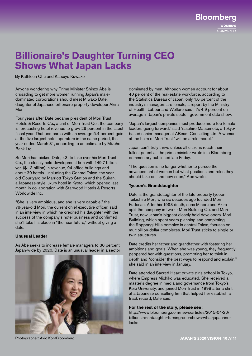**WOMEN'S COMMUNITY** 

**Bloomberg** 

## **Billionaire's Daughter Turning CEO Shows What Japan Lacks**

By Kathleen Chu and Katsuyo Kuwako

Anyone wondering why Prime Minister Shinzo Abe is crusading to get more women running Japan's maledominated corporations should meet Miwako Date, daughter of Japanese billionaire property developer Akira Mori.

Four years after Date became president of Mori Trust Hotels & Resorts Co., a unit of Mori Trust Co., the company is forecasting hotel revenue to grow 26 percent in the latest fiscal year. That compares with an average 5.4 percent gain at the five largest hotel operators in the same period, the year ended March 31, according to an estimate by Mizuho Bank Ltd.

So Mori has picked Date, 43, to take over his Mori Trust Co., the closely held development firm with 149.7 billion yen (\$1.3 billion) in revenue, 94 office buildings and about 30 hotels - including the Conrad Tokyo, the yearold Courtyard by Marriott Tokyo Station and the Suiran, a Japanese-style luxury hotel in Kyoto, which opened last month in collaboration with Starwood Hotels & Resorts Worldwide Inc.

"She is very ambitious, and she is very capable," the 78-year-old Mori, the current chief executive officer, said in an interview in which he credited his daughter with the success of the company's hotel business and confirmed she'll take his place in "the near future," without giving a date.

#### **Unusual Leader**

As Abe seeks to increase female managers to 30 percent Japan-wide by 2020, Date is an unusual leader in a sector



dominated by men. Although women account for about 40 percent of the real-estate workforce, according to the Statistics Bureau of Japan, only 1.6 percent of the industry's managers are female, a report by the Ministry of Health, Labour and Welfare said. It's 4.9 percent on average in Japan's private sector, government data show.

"Japan's largest companies must produce more top female leaders going forward," said Yasuhiro Matsumoto, a Tokyobased senior manager at ABeam Consulting Ltd. A woman at the helm of Mori Trust "will be a role model."

Japan can't truly thrive unless all citizens reach their fullest potential, the prime minister wrote in a Bloomberg commentary published late Friday.

"The question is no longer whether to pursue the advancement of women but what positions and roles they should take on, and how soon," Abe wrote.

#### **Tycoon's Granddaughter**

Date is the granddaughter of the late property tycoon Taikichiro Mori, who six decades ago founded Mori Fudosan. After his 1993 death, sons Minoru and Akira split the company in two - - Mori Building Co. and Mori Trust, now Japan's biggest closely held developers. Mori Building, which spent years planning and completing the Roppongi Hills complex in central Tokyo, focuses on multibillion-dollar complexes. Mori Trust sticks to single or twin structures.

Date credits her father and grandfather with fostering her ambitions and goals. When she was young, they frequently peppered her with questions, prompting her to think indepth and "consider the best ways to respond and explain," she said in an interview in January.

Date attended Sacred Heart private girls school in Tokyo, where Empress Michiko was educated. She received a master's degree in media and governance from Tokyo's Keio University, and joined Mori Trust in 1998 after a stint at a Japanese consulting firm that helped her establish a track record, Date said.

#### **For the rest of the story, please see:**

http://www.bloomberg.com/news/articles/2015-04-26/ billionaire-s-daughter-turning-ceo-shows-what-japan-inclacks

Photographer: Akio Kon/Bloomberg **JAPAN'S 2020 VISION 10 // 11**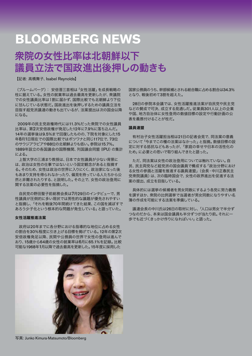## 衆院の女性比率は北朝鮮以下 議員立法で国政進出後押しの動きも

【記者: 高橋舞子、Isabel Reynolds】

(ブルームバーグ): 安倍晋三首相は「女性活躍」を成長戦略の 柱に据えている。女性の就業率は過去最高を更新したが、衆議院 での女性議員比率は1割に届かず、国際比較でも北朝鮮より下位 に甘んじている状態だ。国政進出を後押しするための議員立法を 目指す超党派議連の動きも出ているが、法案提出は次の国会以降 になる。

 2009年の民主党政権時代には11.3%だった衆院での女性議員 比率は、第2次安倍政権が発足した12年に7.9%に落ち込んだ。 14年の選挙後は9.5%まで回復したものの、下院を対象にした15 年8月1日現在での国際比較ではボツワナと同じ117位で、73位 のサウジアラビアや88位の北朝鮮よりも低い。参院は15.7%。 1889年設立の各国議会の国際機関、列国議会同盟(IPU)の集計 による。

 上智大学の三浦まり教授は、日本で女性議員が少ない背景に は、政治は女性の仕事ではないという固定観念があると指摘す る。そのため、女性は政治の世界に入りにくく、政治家になった後 もあまり支持を得られなかったり、偏見を持っている人たちから公 然と非難されたりする、と説明した。その上で、女性の政治登用に 関する法案の必要性を指摘した。

 自民党の野田聖子前総務会長は7月29日のインタビューで、男 性議員が圧倒的に多い現状では男性的な議題が優先されやすい と指摘し、「それを戦後70年間続けてきた結果、この国を滅ぼすで あろう少子化という根本的な問題が発生している」と語っていた。

#### 女性活躍推進法案

 政府は20年までに各分野における指導的な地位に占める女性 の割合を30%程度に引き上げる目標を掲げている。12年の第2次 安倍政権発足以降、民間や公務員の世界で女性の登用は進んで おり、15歳から64歳の女性の就業率は6月に65.1%を記録。比較 可能な1968年1月以降で過去最高を更新した。15年度に採用した



写真: Junko Kimura-Matsumoto/Bloomberg

国家公務員のうち、幹部候補とされる総合職に占める割合は34.3% となり、戦後初めて3割を超えた。

28日の参院本会議では、女性活躍推進法案が自民党や民主党 などの賛成で可決、成立する見通しだ。従業員301人以上の企業 や国、地方自治体に女性登用の数値目標の設定や行動計画の公 表を義務付けることが柱だ。

#### 議員連盟

 有村治子女性活躍担当相は21日の記者会見で、同法案の意義 について「今までこの種の法案はなかった」と指摘。数値目標の設 定に対する抵抗などもあったが、「家庭の幸せや日本の活性化の ため」に必要との思いで取り組んできたと語った。

 ただ、同法案は女性の政治登用については触れていない。自 民、民主両党など超党派の国会議員で構成する「政治分野におけ る女性の参画と活躍を推進する議員連盟」(会長・中川正春民主 党衆院議員)は、次の臨時国会で、女性の政界進出を促進する法 案の提出、成立を目指している。

 具体的には選挙の候補者を男女同数にするよう各党に努力義務 を課すほか、衆院の比例選挙で当選者が男女同数になりやすい名 簿の作成を可能にする法案を準備している。

 議連会長の中川氏は26日の取材に対し、「人口は男女で半分ず つなのだから、本来は国会議員も半分ずつが当たり前。それに一 歩でも近づくきっかけ作りになればいい」と語った。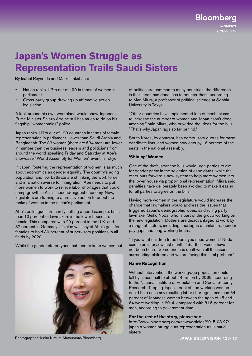**Bloomberg** COMMUNITY

# **Japan's Women Struggle as Representation Trails Saudi Sisters**

By Isabel Reynolds and Maiko Takahashi

- Nation ranks 117th out of 190 in terms of women in parliament
- Cross-party group drawing up affirmative-action legislation

A look around his own workplace would show Japanese Prime Minister Shinzo Abe he still has much to do on his flagship "womenomics" policy.

Japan ranks 117th out of 190 countries in terms of female representation in parliament - lower than Saudi Arabia and Bangladesh. The 83 women (there are 634 men) are fewer in number than the business leaders and politicians from around the world speaking Friday and Saturday at Abe's showcase "World Assembly for Women" event in Tokyo.

In Japan, fostering the representation of women is as much about economics as gender equality. The country's aging population and low birthrate are shrinking the work force, and in a nation averse to immigration, Abe needs to put more women to work to relieve labor shortages that could crimp growth in Asia's second-biggest economy. Now, legislators are turning to affirmative action to boost the ranks of women in the nation's parliament.

Abe's colleagues are hardly setting a good example. Less than 10 percent of lawmakers in the lower house are female. This compares with 29 percent in the U.K. and 37 percent in Germany. It's also well shy of Abe's goal for females to hold 30 percent of supervisory positions in all fields by 2020.

While the gender stereotypes that tend to keep women out

of politics are common to many countries, the difference is that Japan has done less to counter them, according to Mari Miura, a professor of political science at Sophia University in Tokyo.

"Other countries have implemented lots of mechanisms to increase the number of women and Japan hasn't done anything," said Miura, who provided the ideas for the bills. "That's why Japan lags so far behind."

South Korea, by contrast, has compulsory quotas for party candidate lists, and women now occupy 16 percent of the seats in the national assembly.

#### **'Shining' Women**

One of the draft Japanese bills would urge parties to aim for gender parity in the selection of candidates, while the other puts forward a new system to help more women into the lower house via proportional representation. Miura said penalties have deliberately been avoided to make it easier for all parties to agree on the bills.

Having more women in the legislature would increase the chance that lawmakers would address the issues that triggered Japan's demographic woes, said ruling party lawmaker Seiko Noda, who is part of the group working on the new legislation. Mothers are disadvantaged at work by a range of factors, including shortages of childcare, gender pay gaps and long working hours.

"If you want children to be born, you need women," Noda said in an interview last month. "But their voices have not been heard. So no one has dealt with all the issues surrounding children and we are facing this fatal problem."

#### **Name Recognition**

Without intervention, the working-age population could fall by almost half to about 44 million by 2060, according to the National Institute of Population and Social Security Research. Tapping Japan's pool of non-working women could help ease any resulting labor shortage. Less than 64 percent of Japanese women between the ages of 15 and 64 were working in 2014, compared with 81.5 percent for men, according to government data.

#### **For the rest of the story, please see:**

http://www.bloomberg.com/news/articles/2015-08-27/ japan-s-women-struggle-as-representation-trails-saudisisters

Photographer: Junko Kimura-Matsumoto/Bloomberg **JAPAN'S 2020 VISION 12 // 13** 

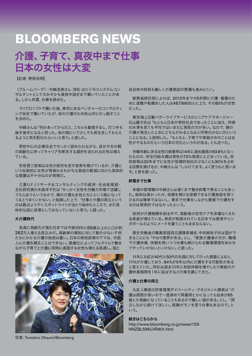# 介護、子育て、真夜中まで仕事 日本の女性は大変

【記者: 野原良明】

(ブルームバーグ):中崎浩美さん(55)はビジネスシステムコン サルタントとして大みそかも真夜中過ぎまで働いていたことがあ る。しかし昨夏、仕事を辞めた。

 マイクロソフトで働いた後、東京にあるベンチャーのコンサルティ ング会社で働いていたが、母の介護のため松山市に引っ越すこと を決めた。

 中崎さんは「何かあってからだと、こちらも動揺するし、打つ手も 後手後手になると思った。母の側にいて少しでも長生きしてもらえ るように気を配れたらいいと思う」と話した。

 男性中心の企業社会でせっかく認められながら、自分や夫の親 の高齢化に伴ってキャリアを断念する選択を迫られる女性は増え ている。

 安倍晋三首相は女性の就労を促す政策を掲げているが、介護と いう伝統的に女性が背負わされがちな負担の軽減に向けた具体的 な措置は不十分なのが実情だ。

 三菱UFJリサーチ&コンサルティングの経済・社会政策部・ 主任研究員の矢島洋子氏は「せっかく女性を労働力市場で活躍し てもらおうというなかで、親の介護も女性たちにという風になって くるとうまくいかない」と指摘した上で、「仕事と介護の両立という のは最近ようやくスポットライトが当たり始めたところで、まだ具 体的な話に政策としてはなっていないと思う」と語った。

#### 大介護時代

 急速に高齢化が進む日本では今後10年に65歳以上の人口が約 262万人増える見込みだ。高齢者の増加に対して数の少ない子供 たちにかかる介護の負担は重い。日本の移民政策の下では、外国 人に介護を頼ることはできない。晩婚化によってフルタイムで働き ながら子育てと介護に同時に直面する女性も増える見通し。国と



写真: Tomohiro Ohsumi/Bloomberg

自治体の財政も厳しく介護施設の整備も進みにくい。

 総務省統計局によれば、2012年までの5年間に介護・看護のた めに退職や転職をした人は48万6900人に上り、その80%が女性 だった。

 東京海上日動ベターライフサービスのシニアケアマネージャー 石山麗子氏は「もともと日本が男性社会であったことに加え、所得 の水準を見ても平均ではいまだに男性の方が多い。なので、親の 介護が発生したときにどちらがみるとなると所得の少ない方という ことになる」と説明した。「もともと、子育てや家庭の中のことは女 性がやるものだという日本の文化というのがある」とも述べた。

 労働年齢にある女性の就業率は14年に過去最高の63.6%となっ たものの、所定内給与額は男性の72%程度にとどまっている。安 倍首相は20年までに女性が指導的地位の少なくとも30%を占め る目標を掲げるが、中崎さんは「しらけてます。よく言うわと思いま す」と首を振った。

#### 終電まで仕事

 未婚の管理職の中崎さんは遅くまで働き終電で帰ることもあっ た。給料は高かったが、母親を預ける信頼できる介護施設を見つ けるのは簡単ではないし、東京で仕事をしながら愛媛で介護をす るのは現実的ではなかったという。

 政府が介護報酬を削る中で、高齢者の在宅ケアを余儀なくされ る家庭が増えている。移民が制限されている日本では香港やシン ガポールのようにメードを雇うこともままならない。

 厚生労働省の職業家庭両立課課長補佐 中井麻祐子氏は国がで きることにも「やはり限界がある」とし、「家族介護者の方が、職場 で介護休業、休暇を使いつつ仕事も続けられる職場環境をあわせ てやっていかないといけない」と語った。

11年に丸紅が40代と50代の社員に対して行った調査によると、 11%が介護しており、84%が5年以内に介護をする可能性がある と答えていた。同社は過去10年に有給休暇を増やしたり無給の介 護休業期間を1年に延ばすなどの策を講じてきた。

#### 介護と仕事の両立

 丸紅人事部の許斐理恵ダイバーシティ・マネジメント課長は「介 護は期間が長いので一度辞めて再雇用とかになっても自身が65 歳とか高齢になっていることもあるので難しい面がある」とし、「両 立しながら続けてほしい。経験がモノを言う仕事もあるので」と いう。

#### 続きはこちらから

http://www.bloomberg.co.jp/news/123- NNZBL56KLVR401.html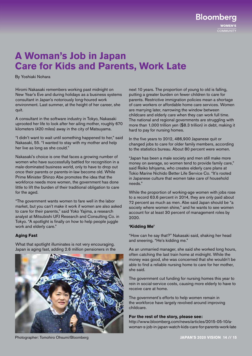**Bloomberg** COMMUNITY

## **A Woman's Job in Japan Care for Kids and Parents, Work Late**

By Yoshiaki Nohara

Hiromi Nakasaki remembers working past midnight on New Year's Eve and during holidays as a business systems consultant in Japan's notoriously long-houred work environment. Last summer, at the height of her career, she quit.

A consultant in the software industry in Tokyo, Nakasaki uprooted her life to look after her ailing mother, roughly 670 kilometers (420 miles) away in the city of Matsuyama.

"I didn't want to wait until something happened to her," said Nakasaki, 55. "I wanted to stay with my mother and help her live as long as she could."

Nakasaki's choice is one that faces a growing number of women who have successfully battled for recognition in a male-dominated business world, only to have to drop out once their parents or parents-in-law become old. While Prime Minister Shinzo Abe promotes the idea that the workforce needs more women, the government has done little to lift the burden of their traditional obligation to care for the aged.

"The government wants women to fare well in the labor market, but you can't make it work if women are also asked to care for their parents," said Yoko Yajima, a research analyst at Mitsubishi UFJ Research and Consulting Co. in Tokyo. "A spotlight is finally on how to help people juggle work and elderly care."

#### **Aging Fast**

What that spotlight illuminates is not very encouraging. Japan is aging fast, adding 2.6 million pensioners in the



Photographer: Tomohiro Ohsumi/Bloomberg **JAPAN'S 2020 VISION 14 // 15**

next 10 years. The proportion of young to old is falling, putting a greater burden on fewer children to care for parents. Restrictive immigration policies mean a shortage of care workers or affordable home care services. Women are marrying later, narrowing the window between childcare and elderly care when they can work full time. The national and regional governments are struggling with more than 1,000 trillion yen (\$8.3 trillion) in debt, making it hard to pay for nursing homes.

In the five years to 2012, 486,900 Japanese quit or changed jobs to care for older family members, according to the statistics bureau. About 80 percent were women.

"Japan has been a male society and men still make more money on average, so women tend to provide family care," said Reiko Ishiyama, who creates elderly care plans at Tokio Marine Nichido Better Life Service Co. "It's rooted in Japanese culture that women take care of household needs."

While the proportion of working-age women with jobs rose to a record 63.6 percent in 2014, they are only paid about 72 percent as much as men. Abe said Japan should be "a society where women shine," and he wants to see women account for at least 30 percent of management roles by 2020.

#### **'Kidding Me'**

"How can he say that?" Nakasaki said, shaking her head and sneering. "He's kidding me."

As an unmarried manager, she said she worked long hours, often catching the last train home at midnight. While the money was good, she was concerned that she wouldn't be able to find a reliable nursing home to care for her mother, she said.

The government cut funding for nursing homes this year to rein in social-service costs, causing more elderly to have to receive care at home.

The government's efforts to help women remain in the workforce have largely revolved around improving childcare.

#### **For the rest of the story, please see:**

http://www.bloomberg.com/news/articles/2015-05-10/awoman-s-job-in-japan-watch-kids-care-for-parents-work-late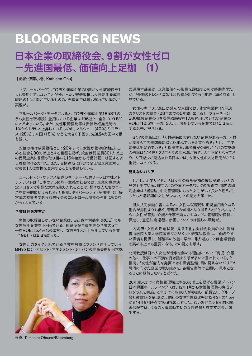# 日本企業の取締役会、**9**割が女性ゼロ -先進国最低、価値向上足枷 (**1**)

【記者: 伊藤小巻、Kathleen Chu】

 (ブルームバーグ):TOPIX 構成企業の9割が女性取締役を1 人も登用していないことが分かった。安倍政権は女性活用を成長 戦略の1つに掲げているものの、先進国では最も遅れているのが 実態だ。

 ブルームバーグ・データによると、TOPIX 構成企業1858社の うち女性を取締役に登用している企業は196社と、全体の10.5% にとどまっている。また、女性取締役比率は安倍政権発足時の 1%から1.5%と上昇しているものの、ノルウェー (40%) やフラン ス(28%)、米国(18%)などを大きく下回り、先進24カ国中で最 も低い。

 安倍政権は成長戦略として20年までに女性が指導的地位に占 める割合を30%以上とする目標を掲げ、政府は従業員301人以上 の民間企業に目標や取り組みを16年度から行動計画に明記するよ う義務付ける方向だ。また、目標達成に向けて全上場企業に対し、 役員に1人は女性を登用することを要請している。

 ゴールドマン・サックス証券のキャシー・松井チーフ日本株スト ラテジストは「日本のように均一主義の社会では、企業の意思決 定プロセスで多様な意見を取り入れることは、様々な人たちのニー ズを効率的に捉えられる」と指摘。ダイバーシティ(多様性)は「経 営陣の監督者である取締役会のコントロール機能の強化にもつな がる」とみている。

#### 企業価値を左右か

 男性の取締役しかいない企業は、自己資本利益率(ROE)でも 女性登用企業を下回っている。取締役が全員男性の企業の5年 平均ROEは5.4%なのに対し、女性を1人以上登用している企業 (196社)は6.8%だった。

 女性活力を引き出している企業を対象にファンド運用している BNYメロン・アセット・マネジメント・ジャパンの鹿島美由紀日本株



式運用本部長は、企業価値への影響を評価するのは時期尚早だ が、「長期のトレンドになれば影響が出てくる可能性は高くなる」と 見ている。

 女性のキャリア進出が盛んな米国では、非営利団体(NPO) カタリストの調査(08年までの5年間)によると、フォーチュン 500構成企業のうち女性取締役を1人も登用していない企業の ROEは10.5%。一方、3人以上登用している企業では15.3%と、 明確な差が見られる。

BNYの鹿島氏は、「人材確保に苦労しない企業がある一方、人材 が集まらず店舗閉鎖に追い込まれている企業もある」とし、「すで に差は出始めている」と指摘する。厚労省が公表した1月の有効求 人倍率は1.14倍と22年ぶりの高水準が続き、人手不足となってお り、人口減少が見込まれる日本では、今後女性の人材活用がさらに 重要になってくる。

#### 見えないバリア

 しかし、企業サイドからは女性の幹部候補の確保が難しいとの 見方も出ている。昨年7月の帝国データバンクの調査で、都内の印 刷企業は「経営層、中間管理職にもっと女性がいて良いと思うが、 もともと適齢期の女性が少ない」との見方を示した。

 男女共同参画白書によると、女性は就職時に正規雇用者となる 割合が男性よりも低く、管理職の候補となり得る人材が少ない。さ らに女性が育児・介護と仕事を両立させながら、管理職や役員に 昇進し、意思決定過程に参画していくのは難しい環境だ。

 内閣府・女性の活躍状況「見える化」検討会委員の北川哲雄 青山学院大学大学院国際マネジメント研究科教授は、「働きやす い環境を提供し、離職率の改善に早めに取り組むことは企業価値 を高める上でも重要になる」との見方を示す。

北川教授は日本人女性が仕事を辞める理由について「育児・介護 の他に、仕事への不満や行き詰まり感が多いと言われている」と 指摘。「女性が能力を発揮できる環境整備、目に見えないバリアの 解消に向けた企業の取り組みを、各報告書等で公開し、見本とな ることに期待したい」と述べた。

20年度末までに女性管理職比率30%以上を掲げる損保ジャパン 日本興亜ホールディングスは、12年1月から女性管理職の育成プ ログラムを実施。これまでに約60人が参加し、部長2人、グループ 会社役員1人を輩出した。同社の女性管理職比率は12年3月の4.5% から14年9月時点で10.9%に上昇した。あいおいニッセイ同和損 害保険では、今春の人事異動で初の女性役員と営業支店長が誕 生する。

写真: Tomohiro Ohsumi/Bloomberg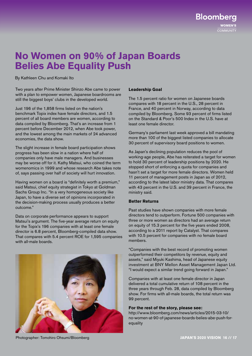**COMMUNITY** 

**Bloomberg** 

## **No Women on 90% of Japan Boards Belies Abe Equality Push**

By Kathleen Chu and Komaki Ito

Two years after Prime Minister Shinzo Abe came to power with a plan to empower women, Japanese boardrooms are still the biggest boys' clubs in the developed world.

Just 196 of the 1,858 firms listed on the nation's benchmark Topix index have female directors, and 1.5 percent of all board members are women, according to data compiled by Bloomberg. That's an increase from 1 percent before December 2012, when Abe took power, and the lowest among the main markets of 24 advanced economies, the data show.

The slight increase in female board participation shows progress has been slow in a nation where half of companies only have male managers. And businesses may be worse off for it. Kathy Matsui, who coined the term womenomics in 1999 and whose research Abe takes note of, says passing over half of society will hurt innovation.

Having women on a board is "definitely worth a premium," said Matsui, chief equity strategist in Tokyo at Goldman Sachs Group Inc. "In a very homogeneous society like Japan, to have a diverse set of opinions incorporated in the decision-making process usually produces a better outcome."

Data on corporate performance appears to support Matsui's argument. The five-year average return on equity for the Topix's 196 companies with at least one female director is 6.8 percent, Bloomberg-compiled data show. That compares with 5.4 percent ROE for 1,595 companies with all-male boards.



#### **Leadership Goal**

The 1.5 percent ratio for women on Japanese boards compares with 18 percent in the U.S., 28 percent in France, and 40 percent in Norway, according to data compiled by Bloomberg. Some 93 percent of firms listed on the Standard & Poor's 500 Index in the U.S. have at least one female director.

Germany's parliament last week approved a bill mandating more than 100 of the biggest listed companies to allocate 30 percent of supervisory board positions to women.

As Japan's declining population reduces the pool of working-age people, Abe has reiterated a target for women to hold 30 percent of leadership positions by 2020. He stopped short of enforcing a quota for companies and hasn't set a target for more female directors. Women held 11 percent of management posts in Japan as of 2012, according to the latest labor ministry data. That compares with 43 percent in the U.S. and 39 percent in France, the ministry said.

#### **Better Returns**

Past studies have shown companies with more female directors tend to outperform. Fortune 500 companies with three or more women as directors had an average return on equity of 15.3 percent for the five years ended 2008, according to a 2011 report by Catalyst. That compares with 10.5 percent for companies with no female board members.

"Companies with the best record of promoting women outperformed their competitors by revenue, equity and assets," said Miyuki Kashima, head of Japanese equity investment at BNY Mellon Asset Management Japan Ltd. "I would expect a similar trend going forward in Japan."

Companies with at least one female director in Japan delivered a total cumulative return of 108 percent in the three years through Feb. 28, data compiled by Bloomberg show. For firms with all-male boards, the total return was 99 percent.

#### **For the rest of the story, please see:**

http://www.bloomberg.com/news/articles/2015-03-10/ no-women-at-90-of-japanese-boards-belies-abe-push-forequality

Photographer: Tomohiro Ohsumi/Bloomberg **JAPAN'S 2020 VISION 16 // 17**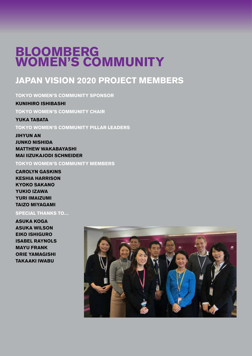# **BLOOMBERG WOMEN'S COMMUNITY**

## **JAPAN VISION 2020 PROJECT MEMBERS**

**TOKYO WOMEN'S COMMUNITY SPONSOR**

**KUNIHIRO ISHIBASHI TOKYO WOMEN'S COMMUNITY CHAIR**

**YUKA TABATA**

**TOKYO WOMEN'S COMMUNITY PILLAR LEADERS**

**JIHYUN AN JUNKO NISHIDA MATTHEW WAKABAYASHI MAI IIZUKAJODI SCHNEIDER**

**TOKYO WOMEN'S COMMUNITY MEMBERS**

**CAROLYN GASKINS KESHIA HARRISON KYOKO SAKANO YUKIO IZAWA YURI IMAIZUMI TAIZO MIYAGAMI**

**SPECIAL THANKS TO…**

**ASUKA KOGA ASUKA WILSON EIKO ISHIGURO ISABEL RAYNOLS MAYU FRANK ORIE YAMAGISHI TAKAAKI IWABU**

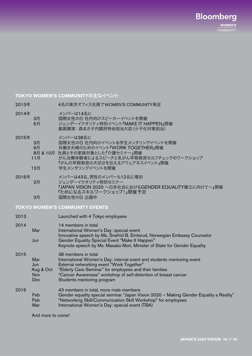**Bloomberg WOMEN'S COMMUNITY** 

#### **TOKYO WOMEN'S COMMUNITY**の主なイベント

2013年4名の東京オフィス社員でWOMEN'S COMMUNITY発足

#### 2014年 メンバーは14名に

 3月国際女性の日 社内向けスピーカーイベントを開催 6月 ジェンダーイクオリティ特別イベント『MAKE IT HAPPEN』開催 基調講演: 森まさ子内閣府特命担当大臣(少子化対策担当)

2015年 メンバーは38名に<br>3月 国際女性の日 社内

- 国際女性の日 社内向けイベント&学生メンタリングイベントを開催
- 6月 共働き夫婦のためのイベント『WORK TOGETHER』開催
- 8月 & 10月 社員とその家族対象とした『介護セミナー』開催

 11月 がん治療体験者によるスピーチと乳がん早期発見セルフチェックのワークショップ 『がんの早期発見の大切さを伝えるアウェアネスイベント』開催 12月 学生メンタリングイベントを開催

2016年 メンバーは43名、男性のメンバーも12名に増加 2月 ジェンダーイクオリティ特別セミナー 『JAPAN VISION 2020 ~日本社会におけるGENDER EQUALITY確立に向けて~』開催 『ためになるスキルワークショップ!』開催予定 3月 国際女性の日 企画中

**TOKYO WOMEN'S COMMUNITY EVENTS**

| 2013 |                                              | Launched with 4 Tokyo employees                                                                                                                                                                                                                                                                       |
|------|----------------------------------------------|-------------------------------------------------------------------------------------------------------------------------------------------------------------------------------------------------------------------------------------------------------------------------------------------------------|
| 2014 | Mar<br>Jun                                   | 14 members in total<br>International Women's Day: special event<br>Innovative speech by Ms. Snøfrid B. Emterud, Norwegian Embassy Counselor<br>Gender Equality Special Event "Make It Happen"<br>Keynote speech by Ms. Masako Mori, Minister of State for Gender Equality                             |
| 2015 | Mar<br>Jun<br>Aug & Oct<br><b>Nov</b><br>Dec | 38 members in total<br>International Women's Day: internal event and students mentoring event<br>External networking event "Work Together"<br>"Elderly Care Seminar" for employees and their families<br>"Cancer Awareness" workshop of self-detention of breast cancer<br>Students mentoring program |
| 2016 | Feb<br>Feb<br>Mar                            | 43 members in total, more male members<br>Gender equality special seminar "Japan Vision 2020 - Making Gender Equality a Reality"<br>"Networking Skill/Communication Skill Workshop" for employees<br>International Women's Day: special event (TBA)                                                   |

And more to come!